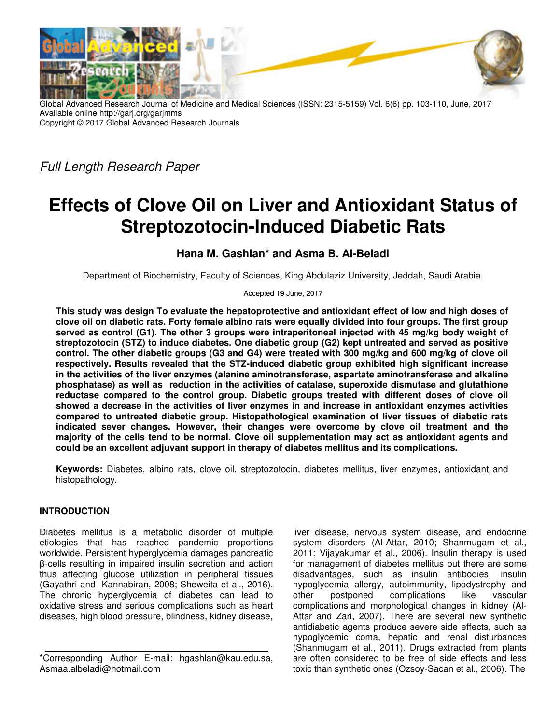

Global Advanced Research Journal of Medicine and Medical Sciences (ISSN: 2315-5159) Vol. 6(6) pp. 103-110, June, 2017 Available online http://garj.org/garjmms Copyright © 2017 Global Advanced Research Journals

Full Length Research Paper

# **Effects of Clove Oil on Liver and Antioxidant Status of Streptozotocin-Induced Diabetic Rats**

# **Hana M. Gashlan\* and Asma B. Al-Beladi**

Department of Biochemistry, Faculty of Sciences, King Abdulaziz University, Jeddah, Saudi Arabia.

Accepted 19 June, 2017

**This study was design To evaluate the hepatoprotective and antioxidant effect of low and high doses of clove oil on diabetic rats. Forty female albino rats were equally divided into four groups. The first group served as control (G1). The other 3 groups were intraperitoneal injected with 45 mg/kg body weight of streptozotocin (STZ) to induce diabetes. One diabetic group (G2) kept untreated and served as positive control. The other diabetic groups (G3 and G4) were treated with 300 mg/kg and 600 mg/kg of clove oil respectively. Results revealed that the STZ-induced diabetic group exhibited high significant increase in the activities of the liver enzymes (alanine aminotransferase, aspartate aminotransferase and alkaline phosphatase) as well as reduction in the activities of catalase, superoxide dismutase and glutathione reductase compared to the control group. Diabetic groups treated with different doses of clove oil showed a decrease in the activities of liver enzymes in and increase in antioxidant enzymes activities compared to untreated diabetic group. Histopathological examination of liver tissues of diabetic rats indicated sever changes. However, their changes were overcome by clove oil treatment and the majority of the cells tend to be normal. Clove oil supplementation may act as antioxidant agents and could be an excellent adjuvant support in therapy of diabetes mellitus and its complications.** 

**Keywords:** Diabetes, albino rats, clove oil, streptozotocin, diabetes mellitus, liver enzymes, antioxidant and histopathology.

## **INTRODUCTION**

Diabetes mellitus is a metabolic disorder of multiple etiologies that has reached pandemic proportions worldwide. Persistent hyperglycemia damages pancreatic β-cells resulting in impaired insulin secretion and action thus affecting glucose utilization in peripheral tissues (Gayathri and Kannabiran, 2008; Sheweita et al., 2016). The chronic hyperglycemia of diabetes can lead to oxidative stress and serious complications such as heart diseases, high blood pressure, blindness, kidney disease,

liver disease, nervous system disease, and endocrine system disorders (Al-Attar, 2010; Shanmugam et al., 2011; Vijayakumar et al., 2006). Insulin therapy is used for management of diabetes mellitus but there are some disadvantages, such as insulin antibodies, insulin hypoglycemia allergy, autoimmunity, lipodystrophy and<br>other postponed complications like vascular postponed complications like vascular complications and morphological changes in kidney (Al-Attar and Zari, 2007). There are several new synthetic antidiabetic agents produce severe side effects, such as hypoglycemic coma, hepatic and renal disturbances (Shanmugam et al., 2011). Drugs extracted from plants are often considered to be free of side effects and less toxic than synthetic ones (Ozsoy-Sacan et al., 2006). The

<sup>\*</sup>Corresponding Author E-mail: hgashlan@kau.edu.sa, Asmaa.albeladi@hotmail.com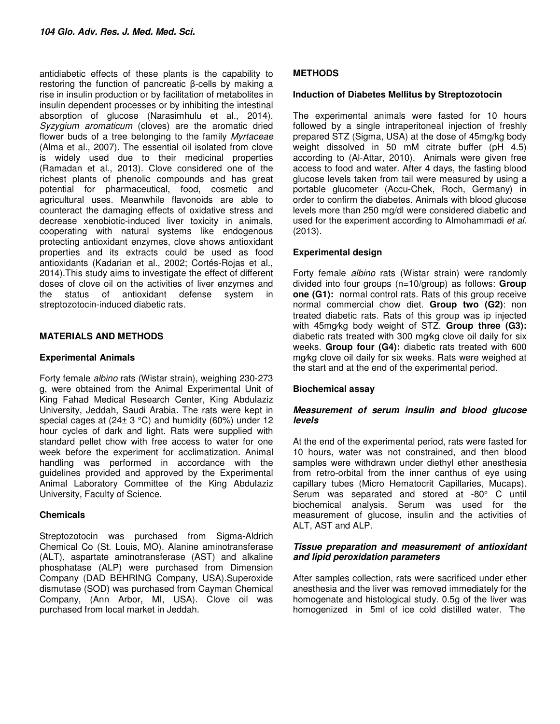antidiabetic effects of these plants is the capability to restoring the function of pancreatic β-cells by making a rise in insulin production or by facilitation of metabolites in insulin dependent processes or by inhibiting the intestinal absorption of glucose (Narasimhulu et al., 2014). Syzygium aromaticum (cloves) are the aromatic dried flower buds of a tree belonging to the family Myrtaceae (Alma et al., 2007). The essential oil isolated from clove is widely used due to their medicinal properties (Ramadan et al., 2013). Clove considered one of the richest plants of phenolic compounds and has great potential for pharmaceutical, food, cosmetic and agricultural uses. Meanwhile flavonoids are able to counteract the damaging effects of oxidative stress and decrease xenobiotic-induced liver toxicity in animals, cooperating with natural systems like endogenous protecting antioxidant enzymes, clove shows antioxidant properties and its extracts could be used as food antioxidants (Kadarian et al., 2002; Cortés-Rojas et al., 2014).This study aims to investigate the effect of different doses of clove oil on the activities of liver enzymes and the status of antioxidant defense system in streptozotocin-induced diabetic rats.

## **MATERIALS AND METHODS**

## **Experimental Animals**

Forty female albino rats (Wistar strain), weighing 230-273 g, were obtained from the Animal Experimental Unit of King Fahad Medical Research Center, King Abdulaziz University, Jeddah, Saudi Arabia. The rats were kept in special cages at  $(24± 3 °C)$  and humidity  $(60%)$  under 12 hour cycles of dark and light. Rats were supplied with standard pellet chow with free access to water for one week before the experiment for acclimatization. Animal handling was performed in accordance with the guidelines provided and approved by the Experimental Animal Laboratory Committee of the King Abdulaziz University, Faculty of Science.

## **Chemicals**

Streptozotocin was purchased from Sigma-Aldrich Chemical Co (St. Louis, MO). Alanine aminotransferase (ALT), aspartate aminotransferase (AST) and alkaline phosphatase (ALP) were purchased from Dimension Company (DAD BEHRING Company, USA).Superoxide dismutase (SOD) was purchased from Cayman Chemical Company, (Ann Arbor, MI, USA). Clove oil was purchased from local market in Jeddah.

## **METHODS**

# **Induction of Diabetes Mellitus by Streptozotocin**

The experimental animals were fasted for 10 hours followed by a single intraperitoneal injection of freshly prepared STZ (Sigma, USA) at the dose of 45mg/kg body weight dissolved in 50 mM citrate buffer (pH 4.5) according to (Al-Attar, 2010). Animals were given free access to food and water. After 4 days, the fasting blood glucose levels taken from tail were measured by using a portable glucometer (Accu-Chek, Roch, Germany) in order to confirm the diabetes. Animals with blood glucose levels more than 250 mg/dl were considered diabetic and used for the experiment according to Almohammadi et al. (2013).

## **Experimental design**

Forty female albino rats (Wistar strain) were randomly divided into four groups (n=10/group) as follows: **Group one (G1):** normal control rats. Rats of this group receive normal commercial chow diet. **Group two (G2)**: non treated diabetic rats. Rats of this group was ip injected with 45mg⁄kg body weight of STZ. **Group three (G3):** diabetic rats treated with 300 mg⁄kg clove oil daily for six weeks. **Group four (G4):** diabetic rats treated with 600 mg⁄kg clove oil daily for six weeks. Rats were weighed at the start and at the end of the experimental period.

## **Biochemical assay**

#### **Measurement of serum insulin and blood glucose levels**

At the end of the experimental period, rats were fasted for 10 hours, water was not constrained, and then blood samples were withdrawn under diethyl ether anesthesia from retro-orbital from the inner canthus of eye using capillary tubes (Micro Hematocrit Capillaries, Mucaps). Serum was separated and stored at -80° C until biochemical analysis. Serum was used for the measurement of glucose, insulin and the activities of ALT, AST and ALP.

#### **Tissue preparation and measurement of antioxidant and lipid peroxidation parameters**

After samples collection, rats were sacrificed under ether anesthesia and the liver was removed immediately for the homogenate and histological study. 0.5g of the liver was homogenized in 5ml of ice cold distilled water. The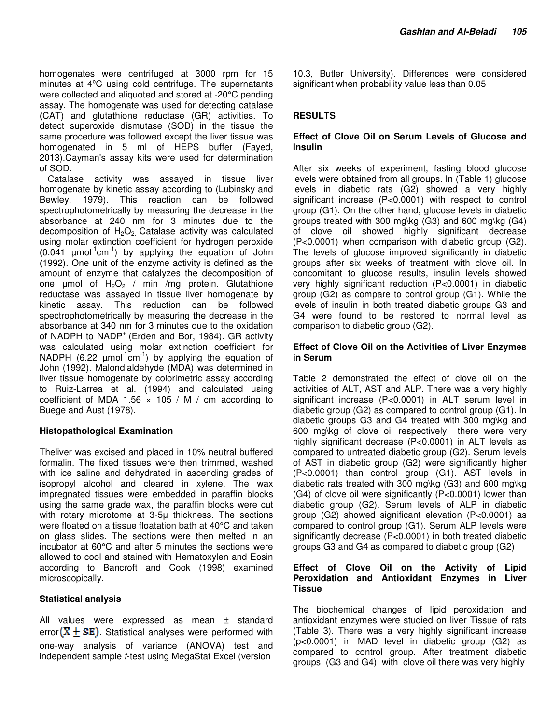homogenates were centrifuged at 3000 rpm for 15 minutes at 4ºC using cold centrifuge. The supernatants were collected and aliquoted and stored at -20°C pending assay. The homogenate was used for detecting catalase (CAT) and glutathione reductase (GR) activities. To detect superoxide dismutase (SOD) in the tissue the same procedure was followed except the liver tissue was homogenated in 5 ml of HEPS buffer (Fayed, 2013).Cayman's assay kits were used for determination of SOD.

Catalase activity was assayed in tissue liver homogenate by kinetic assay according to (Lubinsky and Bewley, 1979). This reaction can be followed spectrophotometrically by measuring the decrease in the absorbance at 240 nm for 3 minutes due to the decomposition of  $H_2O_2$  Catalase activity was calculated using molar extinction coefficient for hydrogen peroxide  $(0.041 \mu \text{mol}^{-1} \text{cm}^{-1})$  by applying the equation of John (1992). One unit of the enzyme activity is defined as the amount of enzyme that catalyzes the decomposition of one  $\mu$ mol of H<sub>2</sub>O<sub>2</sub> / min /mg protein. Glutathione reductase was assayed in tissue liver homogenate by kinetic assay. This reduction can be followed spectrophotometrically by measuring the decrease in the absorbance at 340 nm for 3 minutes due to the oxidation of NADPH to NADP<sup>+</sup> (Erden and Bor, 1984). GR activity was calculated using molar extinction coefficient for NADPH (6.22  $\mu$ mol<sup>-1</sup>cm<sup>-1</sup>) by applying the equation of John (1992). Malondialdehyde (MDA) was determined in liver tissue homogenate by colorimetric assay according to Ruiz-Larrea et al. (1994) and calculated using coefficient of MDA 1.56  $\times$  105 / M / cm according to Buege and Aust (1978).

#### **Histopathological Examination**

Theliver was excised and placed in 10% neutral buffered formalin. The fixed tissues were then trimmed, washed with ice saline and dehydrated in ascending grades of isopropyl alcohol and cleared in xylene. The wax impregnated tissues were embedded in paraffin blocks using the same grade wax, the paraffin blocks were cut with rotary microtome at 3-5µ thickness. The sections were floated on a tissue floatation bath at 40°C and taken on glass slides. The sections were then melted in an incubator at 60°C and after 5 minutes the sections were allowed to cool and stained with Hematoxylen and Eosin according to Bancroft and Cook (1998) examined microscopically.

#### **Statistical analysis**

All values were expressed as mean ± standard error  $(\overline{X} \pm \overline{S}E)$ . Statistical analyses were performed with one-way analysis of variance (ANOVA) test and independent sample t-test using MegaStat Excel (version

10.3, Butler University). Differences were considered significant when probability value less than 0.05

## **RESULTS**

#### **Effect of Clove Oil on Serum Levels of Glucose and Insulin**

After six weeks of experiment, fasting blood glucose levels were obtained from all groups. In (Table 1) glucose levels in diabetic rats (G2) showed a very highly significant increase (P<0.0001) with respect to control group (G1). On the other hand, glucose levels in diabetic groups treated with 300 mg\kg (G3) and 600 mg\kg (G4) of clove oil showed highly significant decrease (P<0.0001) when comparison with diabetic group (G2). The levels of glucose improved significantly in diabetic groups after six weeks of treatment with clove oil. In concomitant to glucose results, insulin levels showed very highly significant reduction (P<0.0001) in diabetic group (G2) as compare to control group (G1). While the levels of insulin in both treated diabetic groups G3 and G4 were found to be restored to normal level as comparison to diabetic group (G2).

#### **Effect of Clove Oil on the Activities of Liver Enzymes in Serum**

Table 2 demonstrated the effect of clove oil on the activities of ALT, AST and ALP. There was a very highly significant increase (P<0.0001) in ALT serum level in diabetic group (G2) as compared to control group (G1). In diabetic groups G3 and G4 treated with 300 mg\kg and 600 mg\kg of clove oil respectively there were very highly significant decrease (P<0.0001) in ALT levels as compared to untreated diabetic group (G2). Serum levels of AST in diabetic group (G2) were significantly higher (P<0.0001) than control group (G1). AST levels in diabetic rats treated with 300 mg\kg (G3) and 600 mg\kg (G4) of clove oil were significantly (P<0.0001) lower than diabetic group (G2). Serum levels of ALP in diabetic group (G2) showed significant elevation (P<0.0001) as compared to control group (G1). Serum ALP levels were significantly decrease (P<0.0001) in both treated diabetic groups G3 and G4 as compared to diabetic group (G2)

#### **Effect of Clove Oil on the Activity of Lipid Peroxidation and Antioxidant Enzymes in Liver Tissue**

The biochemical changes of lipid peroxidation and antioxidant enzymes were studied on liver Tissue of rats (Table 3). There was a very highly significant increase (p<0.0001) in MAD level in diabetic group (G2) as compared to control group. After treatment diabetic groups (G3 and G4) with clove oil there was very highly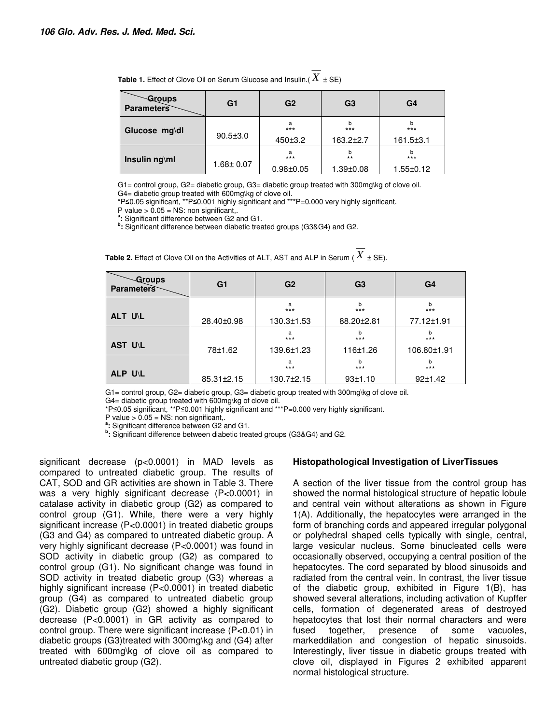| <b>Table 1.</b> Effect of Clove Oil on Serum Glucose and Insulin.( $X \pm SE$ ) |  |
|---------------------------------------------------------------------------------|--|

| Groups<br><b>Parameters</b> | G1              | G <sub>2</sub>              | G <sub>3</sub>                | G4                       |
|-----------------------------|-----------------|-----------------------------|-------------------------------|--------------------------|
| Glucose mg\dl               | $90.5 \pm 3.0$  | a<br>$***$<br>450±3.2       | b<br>$***$<br>$163.2 \pm 2.7$ | $***$<br>$161.5 \pm 3.1$ |
| Insulin ng\ml               | $1.68 \pm 0.07$ | a<br>$***$<br>$0.98 + 0.05$ | b<br>$***$<br>$1.39 \pm 0.08$ | b<br>$***$<br>1.55±0.12  |

G1= control group, G2= diabetic group, G3= diabetic group treated with 300mg\kg of clove oil. G4= diabetic group treated with 600mg\kg of clove oil.

\*P≤0.05 significant, \*\*P≤0.001 highly significant and \*\*\*P=0.000 very highly significant.

P value  $> 0.05$  = NS: non significant,.

**a :** Significant difference between G2 and G1.

**b :** Significant difference between diabetic treated groups (G3&G4) and G2.

| $\sim$ Groups<br><b>Parameters</b> | G <sub>1</sub> | G <sub>2</sub>   | G <sub>3</sub> | G <sub>4</sub> |
|------------------------------------|----------------|------------------|----------------|----------------|
|                                    |                | a<br>$***$       | b<br>$***$     | b<br>$***$     |
| ALT U\L                            | 28.40±0.98     | $130.3 \pm 1.53$ | 88.20±2.81     | 77.12±1.91     |
|                                    |                | a<br>$***$       | b<br>$***$     | b<br>$***$     |
| AST U\L                            | 78±1.62        | 139.6±1.23       | 116±1.26       | 106.80±1.91    |
|                                    |                | a<br>$***$       | b<br>$***$     | h<br>$***$     |
| ALP U\L                            | 85.31±2.15     | 130.7±2.15       | 93±1.10        | 92±1.42        |

**Table 2.** Effect of Clove Oil on the Activities of ALT, AST and ALP in Serum ( $\overline{X}$   $\pm$  SE).

G1= control group, G2= diabetic group, G3= diabetic group treated with 300mg\kg of clove oil.

G4= diabetic group treated with 600mg\kg of clove oil.

\*P≤0.05 significant, \*\*P≤0.001 highly significant and \*\*\*P=0.000 very highly significant.

P value  $> 0.05$  = NS: non significant,.

**a :** Significant difference between G2 and G1.

**b :** Significant difference between diabetic treated groups (G3&G4) and G2.

significant decrease (p<0.0001) in MAD levels as compared to untreated diabetic group. The results of CAT, SOD and GR activities are shown in Table 3. There was a very highly significant decrease (P<0.0001) in catalase activity in diabetic group (G2) as compared to control group (G1). While, there were a very highly significant increase (P<0.0001) in treated diabetic groups (G3 and G4) as compared to untreated diabetic group. A very highly significant decrease (P<0.0001) was found in SOD activity in diabetic group (G2) as compared to control group (G1). No significant change was found in SOD activity in treated diabetic group (G3) whereas a highly significant increase (P<0.0001) in treated diabetic group (G4) as compared to untreated diabetic group (G2). Diabetic group (G2) showed a highly significant decrease (P<0.0001) in GR activity as compared to control group. There were significant increase (P<0.01) in diabetic groups (G3)treated with 300mg\kg and (G4) after treated with 600mg\kg of clove oil as compared to untreated diabetic group (G2).

#### **Histopathological Investigation of LiverTissues**

A section of the liver tissue from the control group has showed the normal histological structure of hepatic lobule and central vein without alterations as shown in Figure 1(A). Additionally, the hepatocytes were arranged in the form of branching cords and appeared irregular polygonal or polyhedral shaped cells typically with single, central, large vesicular nucleus. Some binucleated cells were occasionally observed, occupying a central position of the hepatocytes. The cord separated by blood sinusoids and radiated from the central vein. In contrast, the liver tissue of the diabetic group, exhibited in Figure 1(B), has showed several alterations, including activation of Kupffer cells, formation of degenerated areas of destroyed hepatocytes that lost their normal characters and were fused together, presence of some vacuoles, markeddilation and congestion of hepatic sinusoids. Interestingly, liver tissue in diabetic groups treated with clove oil, displayed in Figures 2 exhibited apparent normal histological structure.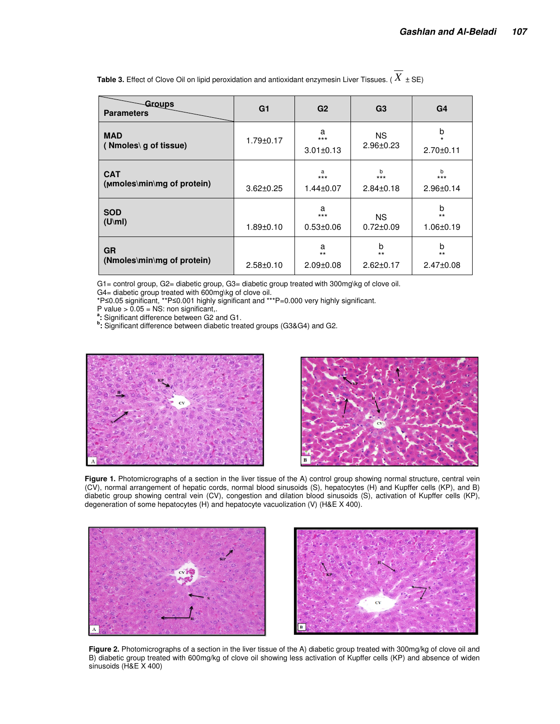| <b>Groups</b><br><b>Parameters</b>       | G <sub>1</sub>  | G <sub>2</sub>                | G <sub>3</sub>                | G4                              |
|------------------------------------------|-----------------|-------------------------------|-------------------------------|---------------------------------|
| <b>MAD</b><br>(Nmoles\g of tissue)       | $1.79 \pm 0.17$ | a<br>$***$<br>$3.01 \pm 0.13$ | NS.<br>$2.96 \pm 0.23$        | b<br>$\star$<br>$2.70 \pm 0.11$ |
| <b>CAT</b><br>(Mmoles\min\mg of protein) | $3.62 \pm 0.25$ | a<br>$***$<br>$1.44 \pm 0.07$ | h<br>$***$<br>$2.84 \pm 0.18$ | b<br>$***$<br>$2.96 \pm 0.14$   |
| <b>SOD</b><br>$(U\backslash ml)$         | $1.89 + 0.10$   | a<br>$***$<br>$0.53 \pm 0.06$ | <b>NS</b><br>$0.72 \pm 0.09$  | b<br>$***$<br>$1.06 \pm 0.19$   |
| <b>GR</b><br>(Nmoles\min\mg of protein)  | $2.58 \pm 0.10$ | a<br>$**$<br>$2.09 \pm 0.08$  | b<br>$***$<br>$2.62 \pm 0.17$ | b<br>$***$<br>$2.47 \pm 0.08$   |

**Table 3.** Effect of Clove Oil on lipid peroxidation and antioxidant enzymesin Liver Tissues. ( $\overline{X}$  ± SE)

G1= control group, G2= diabetic group, G3= diabetic group treated with 300mg\kg of clove oil.

G4= diabetic group treated with 600mg\kg of clove oil.

\*P≤0.05 significant, \*\*P≤0.001 highly significant and \*\*\*P=0.000 very highly significant.

P value  $> 0.05$  = NS: non significant,.

**a :** Significant difference between G2 and G1.

**b :** Significant difference between diabetic treated groups (G3&G4) and G2.





Figure 1. Photomicrographs of a section in the liver tissue of the A) control group showing normal structure, central vein (CV), normal arrangement of hepatic cords, normal blood sinusoids (S), hepatocytes (H) and Kupffer cells (KP), and B) diabetic group showing central vein (CV), congestion and dilation blood sinusoids (S), activation of Kupffer cells (KP), degeneration of some hepatocytes (H) and hepatocyte vacuolization (V) (H&E X 400).





**Figure 2.** Photomicrographs of a section in the liver tissue of the A) diabetic group treated with 300mg/kg of clove oil and B) diabetic group treated with 600mg/kg of clove oil showing less activation of Kupffer cells (KP) and absence of widen sinusoids (H&E X 400)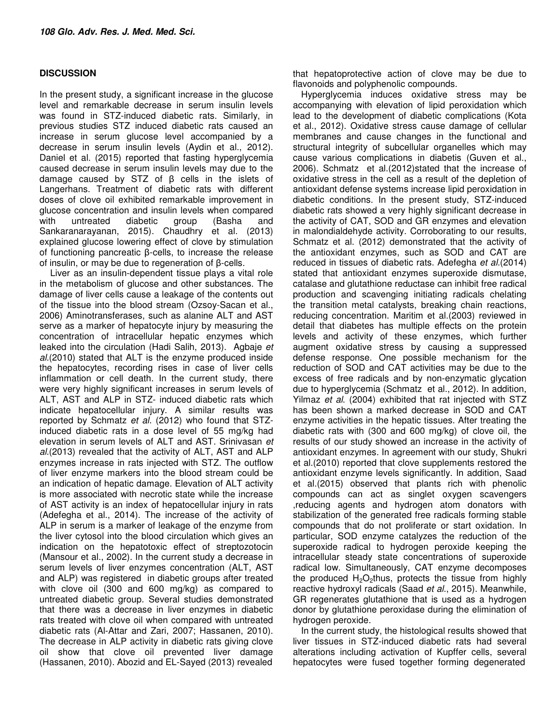## **DISCUSSION**

In the present study, a significant increase in the glucose level and remarkable decrease in serum insulin levels was found in STZ-induced diabetic rats. Similarly, in previous studies STZ induced diabetic rats caused an increase in serum glucose level accompanied by a decrease in serum insulin levels (Aydin et al., 2012). Daniel et al. (2015) reported that fasting hyperglycemia caused decrease in serum insulin levels may due to the damage caused by STZ of β cells in the islets of Langerhans. Treatment of diabetic rats with different doses of clove oil exhibited remarkable improvement in glucose concentration and insulin levels when compared with untreated diabetic group (Basha and Sankaranarayanan, 2015). Chaudhry et al. (2013) explained glucose lowering effect of clove by stimulation of functioning pancreatic β-cells, to increase the release of insulin, or may be due to regeneration of β-cells.

 Liver as an insulin-dependent tissue plays a vital role in the metabolism of glucose and other substances. The damage of liver cells cause a leakage of the contents out of the tissue into the blood stream (Ozsoy-Sacan et al., 2006) Aminotransferases, such as alanine ALT and AST serve as a marker of hepatocyte injury by measuring the concentration of intracellular hepatic enzymes which leaked into the circulation (Hadi Salih, 2013). Agbaje et al.(2010) stated that ALT is the enzyme produced inside the hepatocytes, recording rises in case of liver cells inflammation or cell death. In the current study, there were very highly significant increases in serum levels of ALT, AST and ALP in STZ- induced diabetic rats which indicate hepatocellular injury. A similar results was reported by Schmatz et al. (2012) who found that STZinduced diabetic rats in a dose level of 55 mg/kg had elevation in serum levels of ALT and AST. Srinivasan et al.(2013) revealed that the activity of ALT, AST and ALP enzymes increase in rats injected with STZ. The outflow of liver enzyme markers into the blood stream could be an indication of hepatic damage. Elevation of ALT activity is more associated with necrotic state while the increase of AST activity is an index of hepatocellular injury in rats (Adefegha et al., 2014). The increase of the activity of ALP in serum is a marker of leakage of the enzyme from the liver cytosol into the blood circulation which gives an indication on the hepatotoxic effect of streptozotocin (Mansour et al., 2002). In the current study a decrease in serum levels of liver enzymes concentration (ALT, AST and ALP) was registered in diabetic groups after treated with clove oil (300 and 600 mg/kg) as compared to untreated diabetic group. Several studies demonstrated that there was a decrease in liver enzymes in diabetic rats treated with clove oil when compared with untreated diabetic rats (Al-Attar and Zari, 2007; Hassanen, 2010). The decrease in ALP activity in diabetic rats giving clove oil show that clove oil prevented liver damage (Hassanen, 2010). Abozid and EL-Sayed (2013) revealed

that hepatoprotective action of clove may be due to flavonoids and polyphenolic compounds.

Hyperglycemia induces oxidative stress may be accompanying with elevation of lipid peroxidation which lead to the development of diabetic complications (Kota et al., 2012). Oxidative stress cause damage of cellular membranes and cause changes in the functional and structural integrity of subcellular organelles which may cause various complications in diabetis (Guven et al., 2006). Schmatz et al.(2012)stated that the increase of oxidative stress in the cell as a result of the depletion of antioxidant defense systems increase lipid peroxidation in diabetic conditions. In the present study, STZ-induced diabetic rats showed a very highly significant decrease in the activity of CAT, SOD and GR enzymes and elevation in malondialdehyde activity. Corroborating to our results, Schmatz et al. (2012) demonstrated that the activity of the antioxidant enzymes, such as SOD and CAT are reduced in tissues of diabetic rats. Adefegha *et al.*(2014) stated that antioxidant enzymes superoxide dismutase, catalase and glutathione reductase can inhibit free radical production and scavenging initiating radicals chelating the transition metal catalysts, breaking chain reactions, reducing concentration. Maritim et al.(2003) reviewed in detail that diabetes has multiple effects on the protein levels and activity of these enzymes, which further augment oxidative stress by causing a suppressed defense response. One possible mechanism for the reduction of SOD and CAT activities may be due to the excess of free radicals and by non-enzymatic glycation due to hyperglycemia (Schmatz et al., 2012). In addition, Yilmaz et al. (2004) exhibited that rat injected with STZ has been shown a marked decrease in SOD and CAT enzyme activities in the hepatic tissues. After treating the diabetic rats with (300 and 600 mg/kg) of clove oil, the results of our study showed an increase in the activity of antioxidant enzymes. In agreement with our study, Shukri et al.(2010) reported that clove supplements restored the antioxidant enzyme levels significantly. In addition, Saad et al.(2015) observed that plants rich with phenolic compounds can act as singlet oxygen scavengers ,reducing agents and hydrogen atom donators with stabilization of the generated free radicals forming stable compounds that do not proliferate or start oxidation. In particular, SOD enzyme catalyzes the reduction of the superoxide radical to hydrogen peroxide keeping the intracellular steady state concentrations of superoxide radical low. Simultaneously, CAT enzyme decomposes the produced  $H_2O_2$ thus, protects the tissue from highly reactive hydroxyl radicals (Saad et al., 2015). Meanwhile, GR regenerates glutathione that is used as a hydrogen donor by glutathione peroxidase during the elimination of hydrogen peroxide.

In the current study, the histological results showed that liver tissues in STZ-induced diabetic rats had several alterations including activation of Kupffer cells, several hepatocytes were fused together forming degenerated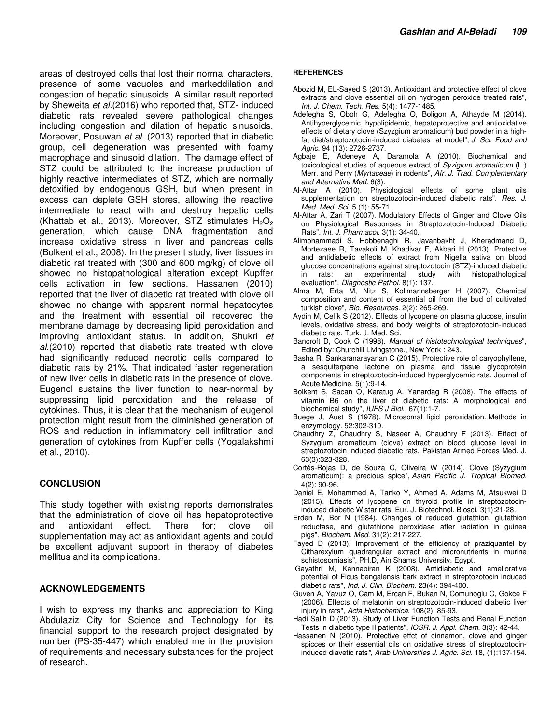areas of destroyed cells that lost their normal characters, presence of some vacuoles and markeddilation and congestion of hepatic sinusoids. A similar result reported by Sheweita et al.(2016) who reported that, STZ- induced diabetic rats revealed severe pathological changes including congestion and dilation of hepatic sinusoids. Moreover, Posuwan et al. (2013) reported that in diabetic group, cell degeneration was presented with foamy macrophage and sinusoid dilation. The damage effect of STZ could be attributed to the increase production of highly reactive intermediates of STZ, which are normally detoxified by endogenous GSH, but when present in excess can deplete GSH stores, allowing the reactive intermediate to react with and destroy hepatic cells (Khattab et al., 2013). Moreover, STZ stimulates  $H_2O_2$ generation, which cause DNA fragmentation and increase oxidative stress in liver and pancreas cells (Bolkent et al., 2008). In the present study, liver tissues in diabetic rat treated with (300 and 600 mg/kg) of clove oil showed no histopathological alteration except Kupffer cells activation in few sections. Hassanen (2010) reported that the liver of diabetic rat treated with clove oil showed no change with apparent normal hepatocytes and the treatment with essential oil recovered the membrane damage by decreasing lipid peroxidation and improving antioxidant status. In addition, Shukri et al.(2010) reported that diabetic rats treated with clove had significantly reduced necrotic cells compared to diabetic rats by 21%. That indicated faster regeneration of new liver cells in diabetic rats in the presence of clove. Eugenol sustains the liver function to near-normal by suppressing lipid peroxidation and the release of cytokines. Thus, it is clear that the mechanism of eugenol protection might result from the diminished generation of ROS and reduction in inflammatory cell infiltration and generation of cytokines from Kupffer cells (Yogalakshmi et al., 2010).

## **CONCLUSION**

This study together with existing reports demonstrates that the administration of clove oil has hepatoprotective and antioxidant effect. There for; clove oil supplementation may act as antioxidant agents and could be excellent adjuvant support in therapy of diabetes mellitus and its complications.

#### **ACKNOWLEDGEMENTS**

I wish to express my thanks and appreciation to King Abdulaziz City for Science and Technology for its financial support to the research project designated by number (PS-35-447) which enabled me in the provision of requirements and necessary substances for the project of research.

#### **REFERENCES**

- Abozid M, EL-Sayed S (2013). Antioxidant and protective effect of clove extracts and clove essential oil on hydrogen peroxide treated rats", Int. J. Chem. Tech. Res. 5(4): 1477-1485.
- Adefegha S, Oboh G, Adefegha O, Boligon A, Athayde M (2014). Antihyperglycemic, hypolipidemic, hepatoprotective and antioxidative effects of dietary clove (Szyzgium aromaticum) bud powder in a highfat diet/streptozotocin-induced diabetes rat model", J. Sci. Food and Agric. 94 (13): 2726-2737.
- Agbaje E, Adeneye A, Daramola A (2010). Biochemical and toxicological studies of aqueous extract of Syzigium aromaticum (L.) Merr. and Perry (Myrtaceae) in rodents", Afr. J. Trad. Complementary and Alternative Med. 6(3).
- Al-Attar A (2010). Physiological effects of some plant oils supplementation on streptozotocin-induced diabetic rats". Res. J. Med. Med. Sci. 5 (1): 55-71.
- Al-Attar A, Zari T (2007). Modulatory Effects of Ginger and Clove Oils on Physiological Responses in Streptozotocin-Induced Diabetic Rats". Int. J. Pharmacol. 3(1): 34-40.
- Alimohammadi S, Hobbenaghi R, Javanbakht J, Kheradmand D, Mortezaee R, Tavakoli M, Khadivar F, Akbari H (2013). Protective and antidiabetic effects of extract from Nigella sativa on blood glucose concentrations against streptozotocin (STZ)-induced diabetic in rats: an experimental study with histopathological evaluation". Diagnostic Pathol. 8(1): 137.
- Alma M, Erta M, Nitz S, Kollmannsberger H (2007). Chemical composition and content of essential oil from the bud of cultivated turkish clove", Bio. Resources. 2(2): 265-269.
- Aydin M, Celík S (2012). Effects of lycopene on plasma glucose, insulin levels, oxidative stress, and body weights of streptozotocin-induced diabetic rats. Turk. J. Med. Sci.
- Bancroft D, Cook C (1998). Manual of histotechnological techniques", Edited by: Churchill Livingstone., New York : 243.
- Basha R, Sankaranarayanan C (2015). Protective role of caryophyllene, a sesquiterpene lactone on plasma and tissue glycoprotein components in streptozotocin-induced hyperglycemic rats. Journal of Acute Medicine. 5(1):9-14.
- Bolkent S, Sacan O, Karatug A, Yanardag R (2008). The effects of vitamin B6 on the liver of diabetic rats: A morphological and biochemical study", IUFS J Biol. 67(1):1-7.
- Buege J, Aust S (1978). Microsomal lipid peroxidation. Methods in enzymology. 52:302-310.
- Chaudhry Z, Chaudhry S, Naseer A, Chaudhry F (2013). Effect of Syzygium aromaticum (clove) extract on blood glucose level in streptozotocin induced diabetic rats. Pakistan Armed Forces Med. J. 63(3):323-328.
- Cortés-Rojas D, de Souza C, Oliveira W (2014). Clove (Syzygium aromaticum): a precious spice", Asian Pacific J. Tropical Biomed. 4(2): 90-96.
- Daniel E, Mohammed A, Tanko Y, Ahmed A, Adams M, Atsukwei D (2015). Effects of lycopene on thyroid profile in streptozotocininduced diabetic Wistar rats. Eur. J. Biotechnol. Biosci. 3(1):21-28.
- Erden M, Bor N (1984). Changes of reduced glutathion, glutathion reductase, and glutathione peroxidase after radiation in guinea pigs". Biochem. Med. 31(2): 217-227.
- Fayed D (2013). Improvement of the efficiency of praziquantel by Citharexylum quadrangular extract and micronutrients in murine schistosomiasis", PH.D, Ain Shams University. Egypt.
- Gayathri M, Kannabiran K (2008). Antidiabetic and ameliorative potential of Ficus bengalensis bark extract in streptozotocin induced diabetic rats", Ind. J. Clin. Biochem. 23(4): 394-400.
- Guven A, Yavuz O, Cam M, Ercan F, Bukan N, Comunoglu C, Gokce F (2006). Effects of melatonin on streptozotocin-induced diabetic liver injury in rats", Acta Histochemica. 108(2): 85-93.
- Hadi Salih D (2013). Study of Liver Function Tests and Renal Function Tests in diabetic type II patients", IOSR. J. Appl. Chem. 3(3): 42-44.
- Hassanen N (2010). Protective effct of cinnamon, clove and ginger spicces or their essential oils on oxidative stress of streptozotocininduced diavetic rats", Arab Universities J. Agric. Sci. 18, (1):137-154.